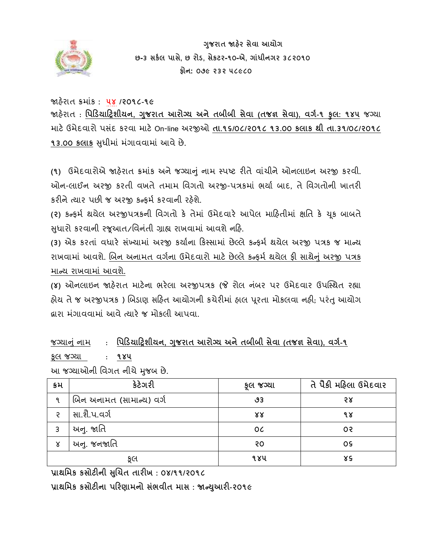

 **ગજુ રાત જાહરે સેવા આયોગ છ-૩ સર્કલ પાસે, છ રોડ, સેર્ટર-૧૦-એ, ગાાંધીનગર ૩૮૨૦૧૦ ફોન: ૦૭૯ ૨૩૨ ૫૮૯૮૦** 

જાહરે ાત ક્રમાકાં **: ૫૪ /૨૦૧૮-૧૯** 

જાહરે ાત : **પપડડયાડિશીયન, ગજુ રાત આરોગ્ય અનેતબીબી સેવા (તજજ્ઞ સેવા), વગક-૧ કુલ: ૧૪૫** જગ્યા માટેઉમેદવારો પસદાં કરવા માટેOn-line અરજીઓ **તા.૧૬/૦૮/૨૦૧૮ ૧૩.૦૦ ર્લાર્ થી તા.૩૧/૦૮/૨૦૧૮ ૧૩.૦૦ કલાક** સુધીમાં મંગાવવામાં આવે છે.

**(૧)** ઉમેદવારોએ જાહરે ાત ક્રમાકાં અનેજગ્યાનુાં નામ સ્પષ્ટ રીતેવાચાં ીનેઓનલાઇન અરજી કરવી. ઓન-લાઈન અરજી કરતી વખતે તમામ વવગતો અરજી-પત્રકમાાં ભયાા બાદ, તે વવગતોની ખાતરી કરીને ત્યાર પછી જ અરજી કન્કર્મ કરવાની રહેશે.

**(૨)** કન્ફમા થયેલ અરજીપત્રકની વવગતો કે તેમાાં ઉમદેવારે આપેલ માહહતીમાાં ક્ષવત કે ચકૂ બાબતે સુધારો કરવાની રજૂઆત/વિનંતી ગ્રાહ્ય રાખવામાં આવશે નહિ.

(3) એક કરતાં વધારે સંખ્યામાં અરજી કર્યાના કિસ્સામાં છેલ્લે કન્ફર્મ થયેલ અરજી પત્રક જ માન્ય રાખવામાં આવશે. બિન અનામત વર્ગના ઉમેદવારો માટે છેલ્લે કન્ફર્મ થયેલ ફી સાથેનું અરજી પત્રક માન્ય રાખવામાં આવશે.

**(૪)** ઓનલાઇન જાહરે ાત માટેના ભરેલા અરજીપત્રક (જે રોલ ન ાંબર પર ઉમેદવાર ઉપસ્સ્થત રહ્યા હોય તે જ અરજીપત્રક ) બિડાણ સહિત આયોગની કચેરીમાં હાલ પૂરતા મોકલવા નહી; પરંતુ આયોગ દ્વારા મંગાવવામાં આવે ત્યારે જ મોકલી આપવા.

જગ્યાનુાં નામ: **પપડડયાડિશીયન, ગજુ રાત આરોગ્ય અનેતબીબી સેવા (તજજ્ઞ સેવા), વગક-૧**

કલૂ જગ્યા: **૧૪૫**

આ જગ્યાઓની વવગત નીચેમજુ બ છે.

| ક્રમ | કેટેગરી                  | કૂલ જગ્યા | તે પૈકી મહિલા ઉમેદવાર |
|------|--------------------------|-----------|-----------------------|
| ୍ୟ   | બિન અનામત (સામાન્ય) વર્ગ | ৬3        | २४                    |
| Ç    | સા.શૈ.પ.વર્ગ             | 88        | १४                    |
| 3    | અનુ. જાતિ                | 0C        | 05                    |
| ४    | અનુ. જનજાતિ              | २०        | 0S                    |
|      | કૂલ                      | १४५       | γç                    |

**પ્રાથપમર્ ર્સોટીની સચુિત તારીખ : ૦૪/૧૧/૨૦૧૮**

**પ્રાથપમર્ ર્સોટીના પડરણામનો સભાં વીત માસ : જાન્યઆુ રી-૨૦૧૯**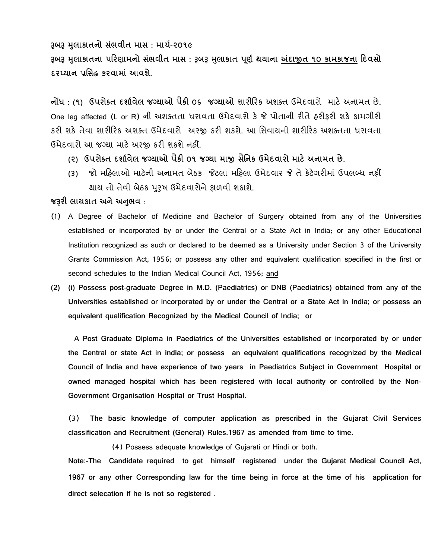**રૂબરૂ મલુ ાર્ાતનો સભાં વીત માસ : માિક-૨૦૧૯**

**રૂબરૂ મલુ ાર્ાતના પડરણામનો સભાં વીત માસ : રૂબરૂ મલુ ાર્ાત પણૂ ક થયાના અંદાજીત ૧૦ ર્ામર્ાજના ડદવસો દરમ્યાન પ્રપસદ્ધ ર્રવામાાં આવશે.**

**નોંધ : (૧) ઉપરોક્ત દશાકવેલ જગ્યાઓ પૈર્ી ૦૬ જગ્યાઓ** શારીહરક અશક્ત ઉમદેવારો માટેઅનામત છે. One leg affected (L or R) ની અશક્તતા ધરાવતા ઉમેદવારો કે જે પોતાની રીતેહરીફરી શકે કામગીરી કરી શકે તેવા શારીહરક અશક્ત ઉમેદવારો અરજી કરી શકશે. આ વસવાયની શારીહરક અશક્તતા ધરાવતા ઉમેદવારો આ જગ્યા માટેઅરજી કરી શકશેનહીં.

- **(૨) ઉપરોક્ત દશાકવેલ જગ્યાઓ પૈર્ી ૦૧ જગ્યા માજી સૈપનર્ ઉમેદવારો માટેઅનામત છે.**
- **(૩)** જો મહહલાઓ માટેની અનામત બેઠક જેટલા મહહલા ઉમેદવાર જે તેકેટેગરીમાાં ઉપલબ્ધ નહીં થાય તો તેવી બેઠક પરષ ઉમેદવારોને કાળવી શકાશે.

# **જરૂરી લાયર્ાત અનેઅનભુ વ** :

- (1) A Degree of Bachelor of Medicine and Bachelor of Surgery obtained from any of the Universities established or incorporated by or under the Central or a State Act in India; or any other Educational Institution recognized as such or declared to be deemed as a University under Section 3 of the University Grants Commission Act, 1956; or possess any other and equivalent qualification specified in the first or second schedules to the Indian Medical Council Act, 1956; and
- **(2) (i) Possess post-graduate Degree in M.D. (Paediatrics) or DNB (Paediatrics) obtained from any of the Universities established or incorporated by or under the Central or a State Act in India; or possess an equivalent qualification Recognized by the Medical Council of India; or**

 **A Post Graduate Diploma in Paediatrics of the Universities established or incorporated by or under the Central or state Act in india; or possess an equivalent qualifications recognized by the Medical Council of India and have experience of two years in Paediatrics Subject in Government Hospital or owned managed hospital which has been registered with local authority or controlled by the Non-Government Organisation Hospital or Trust Hospital.**

 (3) **The basic knowledge of computer application as prescribed in the Gujarat Civil Services classification and Recruitment (General) Rules.1967 as amended from time to time.**

(4) Possess adequate knowledge of Gujarati or Hindi or both.

**Note:-The Candidate required to get himself registered under the Gujarat Medical Council Act, 1967 or any other Corresponding law for the time being in force at the time of his application for direct selecation if he is not so registered .**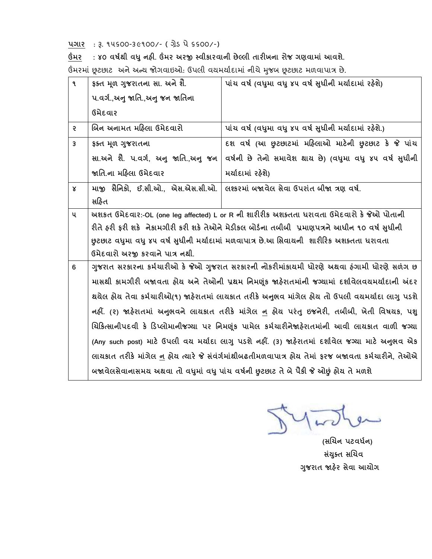**પગાર** : રૂ. ૧૫૬૦૦-૩૯૧૦૦/- ( ગ્રેડ પે ૬૬૦૦/-)

**ઉંમર : ૪૦ વર્કથી વધુનહી. ઉંમર અરજી સ્વીર્ારવાની છેલ્લી તારીખના રોજ ગણવામાાં આવશે.** 

ઉંમરમાં છૂટછાટ અને અન્ય જોગવાઇઓ: ઉપલી વયમર્યાદામાં નીચે મુજબ છૂટછાટ મળવાપાત્ર છે.

| ঀ              | ફક્ત મૂળ ગુજરાતના સા. અને શૈ.                                                               | પાંચ વર્ષ (વધુમા વધુ ૪૫ વર્ષ સુધીની મર્યાદામાં રહેશે)                                                      |
|----------------|---------------------------------------------------------------------------------------------|------------------------------------------------------------------------------------------------------------|
|                | ૫.વર્ગ.,અનુ જાતિ.,અનુ જન જાતિના                                                             |                                                                                                            |
|                | ઉમેદવાર                                                                                     |                                                                                                            |
| $\mathcal{E}$  | બિન અનામત મહિલા ઉમેદવારો                                                                    | પાંચ વર્ષ (વધુમા વધુ ૪૫ વર્ષ સુધીની મર્યાદામાં રહેશે.)                                                     |
| $\overline{3}$ | ६६त भूण गुणरातना                                                                            | દશ વર્ષ (આ છુટછાટમાં મહિલાઓ માટેની છુટછાટ કે જે પાંચ                                                       |
|                | સા.અને શૈે. પ.વર્ગ, અનુ જાતિ.,અનુ જન                                                        | વર્ષની છે તેનો સમાવેશ થાય છે) (વધુમા વધુ ૪૫ વર્ષ સુધીની                                                    |
|                | જાતિ.ના મહિલા ઉમેદવાર                                                                       | મર્યાદામાં રહેશે)                                                                                          |
| γ              | માજી સૈનિકો, ઈ.સી.ઓ., એસ.એસ.સી.ઓ.                                                           | વિશ્કરમાં બજાવેલ સેવા ઉપરાંત બીજા ત્રણ વર્ષ.                                                               |
|                | સહિત                                                                                        |                                                                                                            |
| પ              | અશકત ઉમેદવાર:-OL (one leg affected) L or R ની શારીરીક અશક્તતા ધરાવતા ઉમેદવારો કે જેઓ પોતાની |                                                                                                            |
|                |                                                                                             | રીતે હરી ફરી શકે  નેકામગીરી કરી શકે તેઓને મેડીકલ બોર્ડના તબીબી  પ્રમાણપત્રને આધીન ૧૦ વર્ષ સુધીની           |
|                |                                                                                             | છુટછાટ વધુમા વધુ ૪૫ વર્ષ સુધીની મર્યાદામાં મળવાપાત્ર છે.આ સિવાયની  શારીરિક અશક્તતા ધરાવતા                  |
|                | ઉમેદવારો અરજી કરવાને પાત્ર નથી.                                                             |                                                                                                            |
| 6              |                                                                                             | ગુજરાત સરકારના કર્મચારીઓ કે જેઓ ગુજરાત સરકારની નોકરીમાંકાયમી ધોરણે અથવા હંગામી ધોરણે સળંગ છ                |
|                |                                                                                             | માસથી કામગીરી બજાવતા હોય અને તેઓની પ્રથમ નિમણૂંક જાહેરાતમાંની જગ્યામાં દર્શાવેલવચમર્યાદાની અંદર            |
|                |                                                                                             | થયેલ હોય તેવા કર્મચારીઓ(૧) જાહેરાતમાં લાયકાત તરીકે અનુભવ માંગેલ હોય તો ઉપલી વયમર્યાદા લાગુ પડશે            |
|                |                                                                                             | નહીં. (૨) જાહેરાતમાં અનુભવને લાયકાત તરીકે માંગેલ <u>ન</u> હોય પરંતુ ઇજનેરી, તબીબી, ખેતી વિષયક, પશુ         |
|                |                                                                                             | ચિકિત્સાનીપદવી કે ડિપ્લોમાનીજગ્યા પર નિમણૂંક પામેલ કર્મચારીનેજાહેરાતમાંની આવી લાયકાત વાળી જગ્યા            |
|                |                                                                                             | (Any such post) માટે ઉપલી વચ મર્ચાદા લાગુ પડશે નહીં. (3) જાહેરાતમાં દર્શાવેલ જગ્યા માટે અનુભવ એક           |
|                |                                                                                             | લાયકાત તરીકે માંગેલ <u>ન</u> હોય ત્યારે જે સંવંર્ગમાંથીબઢતીમળવાપાત્ર હોય તેમાં ફરજ બજાવતા કર્મચારીને, તેઓએ |
|                |                                                                                             | બજાવેલસેવાનાસમય અથવા તો વધુમાં વધુ પાંચ વર્ષની છુટછાટ તે બે પૈકી જે ઓછું હોય તે મળશે                       |

 **(સચિન પટવધકન) સયાં ક્ુત સચિવ ગજુ રાત જાહરે સેવા આયોગ**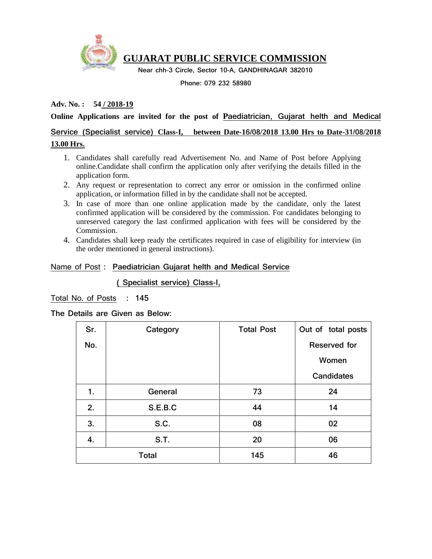

# **GUJARAT PUBLIC SERVICE COMMISSION**

 **Near chh-3 Circle, Sector 10-A, GANDHINAGAR 382010**

**Phone: 079 232 58980**

### **Adv. No. : 54 / 2018-19**

#### **Online Applications are invited for the post of Paediatrician, Gujarat helth and Medical**

# **Service (Specialist service) Class-I, between Date-16/08/2018 13.00 Hrs to Date-31/08/2018 13.00 Hrs.**

#### 1. Candidates shall carefully read Advertisement No. and Name of Post before Applying online.Candidate shall confirm the application only after verifying the details filled in the application form.

- 2. Any request or representation to correct any error or omission in the confirmed online application, or information filled in by the candidate shall not be accepted.
- 3. In case of more than one online application made by the candidate, only the latest confirmed application will be considered by the commission. For candidates belonging to unreserved category the last confirmed application with fees will be considered by the Commission.
- 4. Candidates shall keep ready the certificates required in case of eligibility for interview (in the order mentioned in general instructions).

#### Name of Post **: Paediatrician Gujarat helth and Medical Service**

 **( Specialist service) Class-I,**

Total No. of Posts **: 145**

#### **The Details are Given as Below:**

| Sr. | Category     | <b>Total Post</b> | Out of total posts |
|-----|--------------|-------------------|--------------------|
| No. |              |                   | Reserved for       |
|     |              |                   | Women              |
|     |              |                   | <b>Candidates</b>  |
| 1.  | General      | 73                | 24                 |
| 2.  | S.E.B.C      | 44                | 14                 |
| 3.  | S.C.         | 08                | 02                 |
| 4.  | <b>S.T.</b>  | 20                | 06                 |
|     | <b>Total</b> | 145               | 46                 |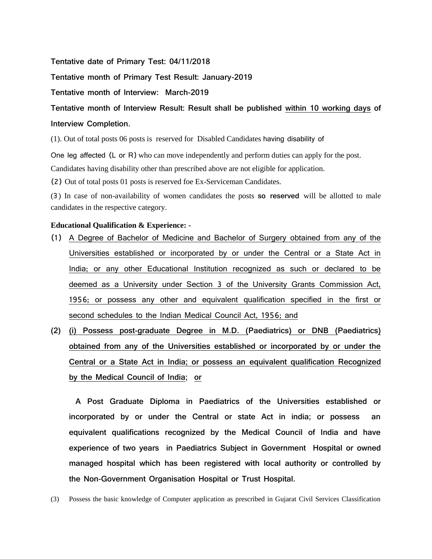**Tentative date of Primary Test: 04/11/2018**

**Tentative month of Primary Test Result: January-2019**

**Tentative month of Interview: March-2019**

**Tentative month of Interview Result: Result shall be published within 10 working days of Interview Completion.**

(1). Out of total posts 06 posts is reserved for Disabled Candidates having disability of

One leg affected (L or R) who can move independently and perform duties can apply for the post.

Candidates having disability other than prescribed above are not eligible for application.

(2) Out of total posts 01 posts is reserved foe Ex-Serviceman Candidates.

(૩) In case of non-availability of women candidates the posts **so reserved** will be allotted to male candidates in the respective category.

#### **Educational Qualification & Experience: -**

- (1) A Degree of Bachelor of Medicine and Bachelor of Surgery obtained from any of the Universities established or incorporated by or under the Central or a State Act in India; or any other Educational Institution recognized as such or declared to be deemed as a University under Section 3 of the University Grants Commission Act, 1956; or possess any other and equivalent qualification specified in the first or second schedules to the Indian Medical Council Act, 1956; and
- **(2) (i) Possess post-graduate Degree in M.D. (Paediatrics) or DNB (Paediatrics) obtained from any of the Universities established or incorporated by or under the Central or a State Act in India; or possess an equivalent qualification Recognized by the Medical Council of India; or**

 **A Post Graduate Diploma in Paediatrics of the Universities established or incorporated by or under the Central or state Act in india; or possess an equivalent qualifications recognized by the Medical Council of India and have experience of two years in Paediatrics Subject in Government Hospital or owned managed hospital which has been registered with local authority or controlled by the Non-Government Organisation Hospital or Trust Hospital.**

(3) Possess the basic knowledge of Computer application as prescribed in Gujarat Civil Services Classification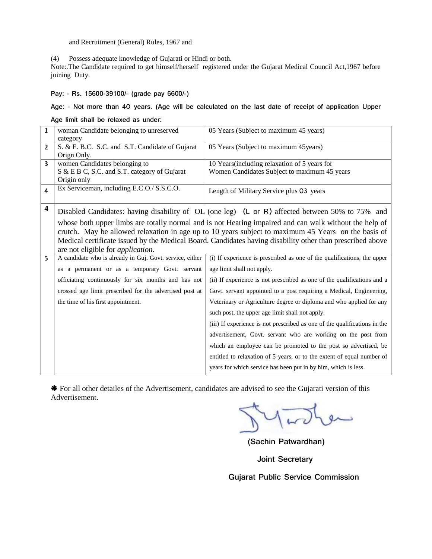and Recruitment (General) Rules, 1967 and

(4) Possess adequate knowledge of Gujarati or Hindi or both.

Note:.The Candidate required to get himself/herself registered under the Gujarat Medical Council Act,1967 before joining Duty.

**Pay: - Rs. 15600-39100/- (grade pay 6600/-)** 

#### **Age: - Not more than 4૦ years. (Age will be calculated on the last date of receipt of application Upper**

**Age limit shall be relaxed as under:**

| $\mathbf{1}$            | woman Candidate belonging to unreserved                  | 05 Years (Subject to maximum 45 years)                                                                    |
|-------------------------|----------------------------------------------------------|-----------------------------------------------------------------------------------------------------------|
|                         | category                                                 |                                                                                                           |
| $\overline{2}$          | S. & E. B.C. S.C. and S.T. Candidate of Gujarat          | 05 Years (Subject to maximum 45 years)                                                                    |
|                         | Orign Only.                                              |                                                                                                           |
| 3                       | women Candidates belonging to                            | 10 Years (including relaxation of 5 years for                                                             |
|                         | S & E B C, S.C. and S.T. category of Gujarat             | Women Candidates Subject to maximum 45 years                                                              |
|                         | Origin only                                              |                                                                                                           |
| 4                       | Ex Serviceman, including E.C.O./ S.S.C.O.                | Length of Military Service plus 03 years                                                                  |
|                         |                                                          |                                                                                                           |
| $\overline{\mathbf{4}}$ |                                                          | Disabled Candidates: having disability of OL (one leg) (L or R) affected between 50% to 75% and           |
|                         |                                                          | whose both upper limbs are totally normal and is not Hearing impaired and can walk without the help of    |
|                         |                                                          | crutch. May be allowed relaxation in age up to 10 years subject to maximum 45 Years on the basis of       |
|                         |                                                          | Medical certificate issued by the Medical Board. Candidates having disability other than prescribed above |
|                         | are not eligible for <i>application</i> .                |                                                                                                           |
| 5                       | A candidate who is already in Guj. Govt. service, either | (i) If experience is prescribed as one of the qualifications, the upper                                   |
|                         | as a permanent or as a temporary Govt. servant           | age limit shall not apply.                                                                                |
|                         | officiating continuously for six months and has not      | (ii) If experience is not prescribed as one of the qualifications and a                                   |
|                         | crossed age limit prescribed for the advertised post at  | Govt. servant appointed to a post requiring a Medical, Engineering,                                       |
|                         | the time of his first appointment.                       | Veterinary or Agriculture degree or diploma and who applied for any                                       |
|                         |                                                          | such post, the upper age limit shall not apply.                                                           |
|                         |                                                          | (iii) If experience is not prescribed as one of the qualifications in the                                 |
|                         |                                                          | advertisement, Govt. servant who are working on the post from                                             |
|                         |                                                          | which an employee can be promoted to the post so advertised, be                                           |
|                         |                                                          | entitled to relaxation of 5 years, or to the extent of equal number of                                    |
|                         |                                                          | years for which service has been put in by him, which is less.                                            |

 For all other detailes of the Advertisement, candidates are advised to see the Gujarati version of this Advertisement.

ىسو

 **(Sachin Patwardhan)**

**Joint Secretary**

**Gujarat Public Service Commission**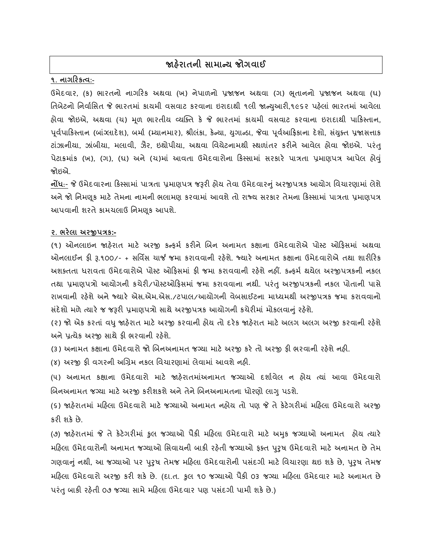# **જાહરે ાતની સામાન્ય જોગવાઈ**

## **૧. નાગડરર્ત્વ:-**

ઉમેદવાર, (ક) ભારતનો નાગરિક અથવા (ખ) નેપાળનો પ્રજાજન અથવા (ગ) ભૂતાનનો પ્રજાજન અથવા (ઘ) તિબેટનો નિર્વાસિત જે ભારતમાં કાયમી વસવાટ કરવાના ઇરાદાથી ૧લી જાન્યુઆરી,૧૯૬૨ પહેલાં ભારતમાં આવેલા હોવા જોઇએ, અથવા (ચ) મૂળ ભારતીય વ્યક્તિ કે જે ભારતમાં કાયમી વસવાટ કરવાના ઇરાદાથી પાકિસ્તાન, પૂર્વપાકિસ્તાન (બાંગ્લાદેશ), બર્મા (મ્યાનમાર), શ્રીલંકા, કેન્યા, યુગાન્ડા, જેવા પૂર્વઆફ્રિકાના દેશો, સંયુક્ત પ્રજાસત્તાક ટાંઝાનીયા, ઝાંબીયા, મલાવી, ઝૈર, ઇથોપીયા, અથવા વિયેટનામથી સ્થળાંતર કરીને આવેલ હોવા જોઇએ. પરંતુ પેટાક્રમાંક (ખ), (ગ), (ઘ) અને (ચ)માં આવતા ઉમેદવારોના કિસ્સામાં સરકારે પાત્રતા પ્રમાણપત્ર આપેલ હોવું જોઇએ.

**નોંધ**:- જે ઉમેદવારના કિસ્સામાં પાત્રતા પ્રમાણપત્ર જરૂરી હોય તેવા ઉમેદવારનું અરજીપત્રક આયોગ વિચારણામાં લેશે અને જો નિમણૂક માટે તેમના નામની ભલામણ કરવામાં આવશે તો રાજ્ય સરકાર તેમના કિસ્સામાં પાત્રતા પ્રમાણપત્ર આપવાની શરતે કામચલાઉ નિમણક આપશે.

#### **૨. ભરેલા અરજીપત્રર્:-**

(૧) ઓનલાઇન જાહેરાત માટે અરજી કન્ફમા કરીને બબન અનામત કક્ષાના ઉમેદવારોએ પોસ્ટ ઓહફસમાાં અથવા ઓનલાઈન ફી રૂ.૧૦૦/- + સવવિસ ચાર્જ જમા કરાવવાની રહેશે. જ્યારે અનામત કક્ષાના ઉમેદવારોએ તથા શારીહરક અશક્તતા ધરાવતા ઉમેદવારોએ પોસ્ટ ઓહફસમાાં ફી જમા કરાવવાની રહેશે નહીં. કન્ફમા થયેલ અરજીપત્રકની નકલ તથા પ્રમાણપત્રો આયોગની કચેરી/પોસ્ટઓહફસમાાં જમા કરાવવાના નથી. પરાંતુઅરજીપત્રકની નકલ પોતાની પાસે રાખવાની રહેશે અને જ્યારે એસ.એમ.એસ./ટપાલ/આયોગની વેબસાઈટના માધ્યમથી અરજીપત્રક જમા કરાવવાનો સંદેશો મળે ત્યારે જ જરૂરી પ્રમાણપત્રો સાથે અરજીપત્રક આયોગની કચેરીમાં મોકલવાનું રહેશે.

(૨) જો એક કરતાં વધુ જાહેરાત માટે અરજી કરવાની હોય તો દરેક જાહેરાત માટે અલગ અલગ અરજી કરવાની રહેશે અને પ્રત્યેક અરજી સાથે ફી ભરવાની રહેશે.

(૩) અનામત કક્ષાના ઉમેદવારો જો બિનઅનામત જગ્યા માટે અરજી કરે તો અરજી ફી ભરવાની રહેશે નહી.

(૪) અરજી ફી વગરની અબગ્રમ નકલ વવચારણામાાં લેવામાાં આવશે નહી.

(૫) અનામત કક્ષાના ઉમેદવારો માટે જાહેરાતમાાંઅનામત જગ્યાઓ દશાાવેલ ન હોય ત્યાાં આવા ઉમેદવારો બિનઅનામત જગ્યા માટે અરજી કરીશકશે અને તેને બિનઅનામતના ધોરણો લાગુ પડશે.

(૬) જાહેરાતમાાં મહહલા ઉમેદવારો માટે જગ્યાઓ અનામત નહોય તો પણ જે તે કેટેગરીમાાં મહહલા ઉમેદવારો અરજી કરી શકે છે.

(૭) જાહેરાતમાાં જે તેકેટેગરીમાાં કુલ જગ્યાઓ પૈકી મહહલા ઉમેદવારો માટે અમકુ જગ્યાઓ અનામત હોય ત્યારે મહિલા ઉમેદવારોની અનામત જગ્યાઓ સિવાયની બાકી રહેતી જગ્યાઓ ફક્ત પુરુષ ઉમેદવારો માટે અનામત છે તેમ ગણવાનું નથી, આ જગ્યાઓ પર પુરુષ તેમજ મહિલા ઉમેદવારોની પસંદગી માટે વિચારણા થઇ શકે છે, પુરુષ તેમજ મહહલા ઉમેદવારો અરજી કરી શકે છે. (દા.ત. કુલ ૧૦ જગ્યાઓ પૈકી ૦૩ જગ્યા મહહલા ઉમેદવાર માટે અનામત છે પરંતુ બાકી રહેતી ૦૭ જગ્યા સામે મહિલા ઉમેદવાર પણ પસંદગી પામી શકે છે.)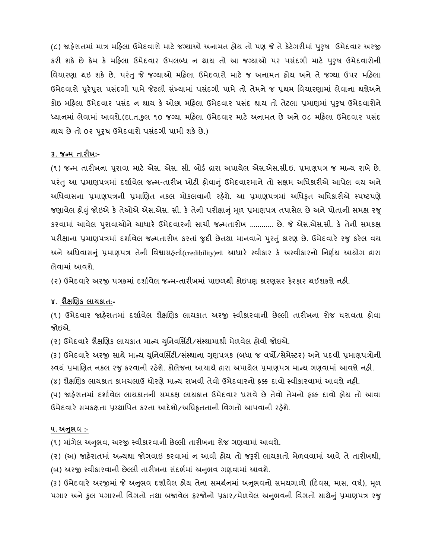(૮) જાહેરાતમાાં માત્ર મહહલા ઉમેદવારો માટે જગ્યાઓ અનામત હોય તો પણ જે તે કેટેગરીમાાં પરુુષ ઉમેદવાર અરજી કરી શકે છે કેમ કે મહહલા ઉમેદવાર ઉપલબ્ધ ન થાય તો આ જગ્યાઓ પર પસદાં ગી માટે પરુુષ ઉમેદવારોની વિચારણા થઇ શકે છે. પરંતુ જે જગ્યાઓ મહિલા ઉમેદવારો માટે જ અનામત હોય અને તે જગ્યા ઉપર મહિલા ઉમેદવારો પુરેપુરા પસંદગી પામે જેટલી સંખ્યામાં પસંદગી પામે તો તેમને જ પ્રથમ વિચારણામાં લેવાના થશેઅને કોઇ મહિલા ઉમેદવાર પસંદ ન થાય કે ઓછા મહિલા ઉમેદવાર પસંદ થાય તો તેટલા પ્રમાણમાં પુરુષ ઉમેદવારોને ધ્યાનમાં લેવામાં આવશે.(દા.ત.કુલ ૧૦ જગ્યા મહિલા ઉમેદવાર માટે અનામત છે અને ૦૮ મહિલા ઉમેદવાર પસંદ થાય છે તો ૦૨ પુરૃષ ઉમેદવારો પસંદગી પામી શકે છે.)

#### **૩. જન્મ તારીખ:-**

(૧) જન્મ તારીખના પરુાવા માટે એસ. એસ. સી. બોડા દ્વારા અપાયેલ એસ.એસ.સી.ઇ. પ્રમાણપત્ર જ માન્ય રાખે છે. પરંતુ આ પ્રમાણપત્રમાં દર્શાવેલ જન્મ-તારીખ ખોટી હોવાનું ઉમેદવારમાને તો સક્ષમ અધિકારીએ આપેલ વય અને અધિવાસના પ્રમાણપત્રની પ્રમાણિત નકલ મોકલવાની રહેશે. આ પ્રમાણપત્રમાં અધિકૃત અધિકારીએ સ્પષ્ટપણે જણાવેલ હોવુાં જોઇએ કેતેઓએ એસ.એસ. સી. કેતેની પરીક્ષાનુાં મળૂ પ્રમાણપત્ર તપાસેલ છેઅનેપોતાની સમક્ષ રજૂ કરવામાાં આવેલ પરુ ાવાઓનેઆધારે ઉમેદવારની સાચી જન્મતારીખ ............ છે. જે એસ.એસ.સી. કે તેની સમકક્ષ પરીક્ષાના પ્રમાણપત્રમાં દર્શાવેલ જન્મતારીખ કરતાં જુદી છેતથા માનવાને પુરતું કારણ છે. ઉમેદવારે રજુ કરેલ વય અને અધિવાસનું પ્રમાણપત્ર તેની વિશ્વાસહ્**તાી (credibility)ના આધારે સ્વીકાર કે** અસ્વીકારનો નિર્ણય આયોગ દ્વારા લેવામાાં આવશે.

(૨) ઉમેદવારે અરજી પત્રકમાં દર્શાવેલ જન્મ-તારીખમાં પાછળથી કોઇપણ કારણસર ફેરફાર થઈશકશે નહી.

#### **૪. શૈક્ષચણર્ લાયર્ાત:-**

(૧) ઉમેદવાર જાહેરાતમાાં દશાાવેલ શૈક્ષબણક લાયકાત અરજી સ્વીકારવાની છેલ્લી તારીખના રોજ ધરાવતા હોવા જોઇએ.

(૨) ઉમેદવારે શૈક્ષબણક લાયકાત માન્ય યવુનવવસિટી/સ ાંસ્થામાથી મેળવેલ હોવી જોઇએ.

(૩) ઉમેદવારે અરજી સાથે માન્ય યુનિવર્સિટી/સંસ્થાના ગુણપત્રક (બધા જ વર્ષો/સેમેસ્ટર) અને પદવી પ્રમાણપત્રોની સ્વયં પ્રમાણિત નકલ રજુ કરવાની રહેશે. કોલેજના આચાર્ય દ્વારા અપાયેલ પ્રમાણપત્ર માન્ય ગણવામાં આવશે નહી.

(૪) શૈક્ષણિક લાયકાત કામચલાઉ ધોરણે માન્ય રાખવી તેવો ઉમેદવારનો હક્ક દાવો સ્વીકારવામાં આવશે નહી.

(૫) જાહેરાતમાં દર્શાવેલ લાયકાતની સમકક્ષ લાયકાત ઉમેદવાર ધરાવે છે તેવો તેમનો હક્ક દાવો હોય તો આવા ઉમેદવારે સમકક્ષતા પ્રસ્થાપિત કરતા આદેશો/અધિકૃતતાની વિગતો આપવાની રહેશે.

#### **૫. અનભુ વ :-**

(૧) માંગેલ અનુભવ, અરજી સ્વીકારવાની છેલ્લી તારીખના રોજ ગણવામાં આવશે.

(૨) (અ) જાહેરાતમાં અન્યથા જોગવાઇ કરવામાં ન આવી હોય તો જરૂરી લાયકાતો મેળવવામાં આવે તે તારીખથી, (બ) અરજી સ્વીકારવાની છેલ્લી તારીખના સંદર્ભમાં અનુભવ ગણવામાં આવશે.

(૩) ઉમેદવારે અરજીમાં જે અનુભવ દર્શાવેલ હોય તેના સમર્થનમાં અનુભવનો સમયગાળો (દિવસ, માસ, વર્ષ), મૂળ પગાર અને કુલ પગારની વિગતો તથા બજાવેલ ફરજોનો પ્રકાર/મેળવેલ અનુભવની વિગતો સાથેનું પ્રમાણપત્ર રજુ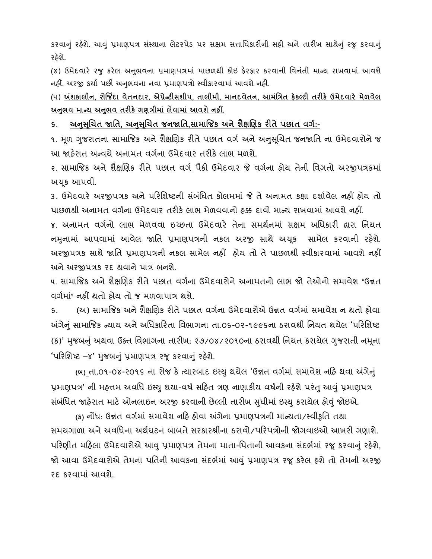કરવાનું રહેશે. આવું પ્રમાણપત્ર સંસ્થાના લેટરપેડ પર સક્ષમ સત્તાધિકારીની સહી અને તારીખ સાથેનું રજુ કરવાનું રહેશે.

(૪) ઉમેદવારે રજુ કરેલ અનુભવના પ્રમાણપત્રમાં પાછળથી કોઇ ફેરફાર કરવાની વિનંતી માન્ય રાખવામાં આવશે નહીં. અરજી કર્યા પછી અનુભવના નવા પ્રમાણપત્રો સ્વીકારવામાં આવશે નહી.

(૫) **અંશર્ાલીન, રોજજિંદા વેતનદાર, એપ્રેન્ટીસશીપ, તાલીમી, માનદવેતન, આમાંપત્રત ફૅર્લ્ટી તરીર્ે ઉમેદવારે મેળવેલ અનભુ વ માન્ય અનભુ વ તરીર્ેગણત્રીમાાં લેવામાાં આવશેનહીં.**

**૬. અનસુ ચૂિત જાપત, અનસુ ચૂિત જનજાપત,સામાજજર્ અનેશૈક્ષચણર્ રીતેપછાત વગક:**-

૧. મૂળ ગુજરાતના સામાજિક અને શૈક્ષણિક રીતે પછાત વર્ગ અને અનુસૂચિત જનજાતિ ના ઉમેદવારોને જ આ જાહેરાત અન્વયે અનામત વર્ગના ઉમેદવાર તરીકે લાભ મળશે.

<u>૨.</u> સામાજિક અને શૈક્ષણિક રીતે પછાત વર્ગ પૈકી ઉમેદવાર જે વર્ગના હોય તેની વિગતો અરજીપત્રકમાં અચકૂ આપવી.

૩. ઉમેદવારે અરજીપત્રક અને પરિશિષ્ટની સંબંધિત કોલમમાં જે તે અનામત કક્ષા દર્શાવેલ નહીં હોય તો પાછળથી અનામત વર્ગના ઉમેદવાર તરીકે લાભ મેળવવાનો ઠક્ક દાવો માન્ય રાખવામાં આવશે નહીં.

**૪.** અનામત વગાનો લાભ મેળવવા ઇચ્છતા ઉમેદવારે તેના સમથાનમાાં સક્ષમ અવધકારી દ્વારા વનયત નમુનામાં આપવામાં આવેલ જાતિ પ્રમાણપત્રની નકલ અરજી સાથે અચૂક સામેલ કરવાની રહેશે. અરજીપત્રક સાથે જાવત પ્રમાણપત્રની નકલ સામેલ નહીં હોય તો તે પાછળથી સ્વીકારવામાાં આવશે નહીં અને અરજીપત્રક રદ થવાને પાત્ર બનશે.

૫. સામાજિક અને શૈક્ષણિક રીતે પછાત વર્ગના ઉમેદવારોને અનામતનો લાભ જો તેઓનો સમાવેશ "ઉન્નત વર્ગમાં" નહીં થતો હોય તો જ મળવાપાત્ર થશે.

૬. (અ) સામાજિક અને શૈક્ષણિક રીતે પછાત વર્ગના ઉમેદવારોએ ઉન્નત વર્ગમાં સમાવેશ ન થતો હોવા અંગેનું સામાજિક ન્યાય અને અધિકારિતા વિભાગના તા.૦૬-૦૨-૧૯૯૬ના ઠરાવથી નિયત થયેલ 'પરિશિષ્ટ (ક)' મુજબનું અથવા ઉક્ત વિભાગના તારીખ: ૨૭/૦૪/૨૦૧૦ના ઠરાવથી નિયત કરાયેલ ગુજરાતી નમૂના 'પરિશિષ્ટ –૪' મુજબનું પ્રમાણપત્ર રજૂ કરવાનું રહેશે.

 **(બ)** તા.૦૧-૦૪-ર૦૧૬ ના રોજ કેત્યારબાદ ઇસ્યુથયલે 'ઉન્નત વગમા ાાં સમાવેશ નહહ થવા અંગેનુાં પ્રમાણપત્ર' ની મહત્તમ અવધિ ઇસ્યુ થયા-વર્ષ સહિત ત્રણ નાણાકીય વર્ષની રહેશે પરંતુ આવું પ્રમાણપત્ર સંબંધિત જાહેરાત માટે ઓનલાઇન અરજી કરવાની છેલ્લી તારીખ સુધીમાં ઇસ્યુ કરાયેલ હોવું જોઇએ.

 **(ર્)** નોંધ: ઉન્નત વગમા ાાં સમાવેશ નહહ હોવા અંગને ા પ્રમાણપત્રની માન્યતા/સ્વીકૃવત તથા સમયગાળા અને અવવધના અથાઘટન બાબતે સરકારશ્રીના ઠરાવો/પહરપત્રોની જોગવાઇઓ આખરી ગણાશે. પરિણીત મહિલા ઉમેદવારોએ આવુ પ્રમાણપત્ર તેમના માતા-પિતાની આવકના સંદર્ભમાં રજૂ કરવાનું રહેશે, જો આવા ઉમેદવારોએ તેમના પતિની આવકના સંદર્ભમાં આવું પ્રમાણપત્ર રજૂ કરેલ હશે તો તેમની અરજી રદ કરવામાાં આવશે.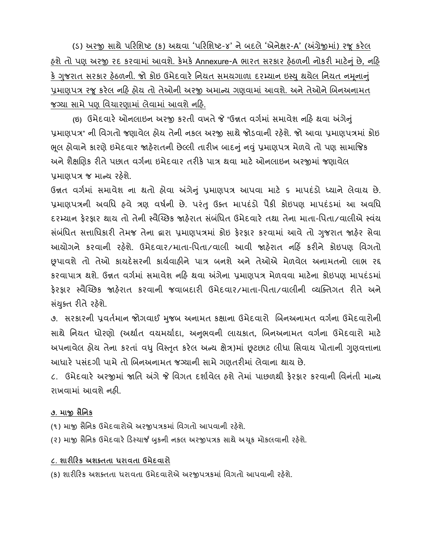(s) અરજી સાથે પરિશિષ્ટ (ક) અથવા 'પરિશિષ્ટ-૪' ને બદલે 'એનેક્ષર-A' (અંગ્રેજીમાં) રજૂ કરેલ હશે તો પણ અરજી રદ કરવામાં આવશે. કેમકે Annexure-A ભારત સરકાર હેઠળની નોકરી માટેનું છે, નહિ કે ગુજરાત સરકાર હેઠળની. જો કોઇ ઉમેદવારે નિયત સમયગાળા દરમ્યાન ઇસ્યુ થયેલ નિયત નમૂનાનું પ્રમાણપત્ર રજૂ કરેલ નહિ હોય તો તેઓની અરજી અમાન્ય ગણવામાં આવશે. અને તેઓને બિનઅનામત જગ્યા સામે પણ વિચારણામાં લેવામાં આવશે નહિ.

 **(ઇ)** ઉમેદવારેઓનલાઇન અરજી કરતી વખતેજે "ઉન્નત વગામાાં સમાવેશ નહહ થવા અંગેનુાં પ્રમાણપત્ર" ની વિગતો જણાવેલ હોય તેની નકલ અરજી સાથે જોડવાની રહેશે. જો આવા પ્રમાણપત્રમાં કોઇ ભૂલ હોવાને કારણે ઇમેદવાર જાહેરાતની છેલ્લી તારીખ બાદનું નવું પ્રમાણપત્ર મેળવે તો પણ સામાજિક અને શૈક્ષણિક રીતે પછાત વર્ગના ઇમેદવાર તરીકે પાત્ર થવા માટે ઓનલાઇન અરજીમાં જણાવેલ પ્રમાણપત્ર જ માન્ય રહેશે.

ઉન્નત વર્ગમાં સમાવેશ ના થતો હોવા અંગેનું પ્રમાણપત્ર આપવા માટે ૬ માપદંડો ધ્યાને લેવાય છે. પ્રમાણપત્રની અવધિ હવે ત્રણ વર્ષની છે. પરંતુ ઉક્ત માપદંડો પૈકી કોઇપણ માપદંડમાં આ અવધિ દરમ્યાન ફેરફાર થાય તો તેની સ્વૈચ્છિક જાહેરાત સંબંધિત ઉમેદવારે તથા તેના માતા-પિતા/વાલીએ સ્વંય સંબંધિત સત્તાધિકારી તેમજ તેના દ્વારા પ્રમાણપત્રમાં કોઇ ફેરફાર કરવામાં આવે તો ગુજરાત જાહેર સેવા આયોગને કરવાની રહેશે. ઉમેદવાર/માતા-પિતા/વાલી આવી જાહેરાત નહિં કરીને કોઇપણ વિગતો છૂપાવશે તો તઓે કાયદેસરની કાયાવાહીને પાત્ર બનશે અને તેઓએ મેળવેલ અનામતનો લાભ રદ્દ કરવાપાત્ર થશે. ઉન્નત વર્ગમાં સમાવેશ નહિ થવા અંગેના પ્રમાણપત્ર મેળવવા માટેના કોઇપણ માપદંડમાં ફેરફાર સ્વૈચ્ચ્છક જાહરે ાત કરવાની જવાબદારી ઉમેદવાર/માતા-વપતા/વાલીની વ્યસ્ક્તગત રીતે અને સંયુક્ત રીતે રહેશે.

૭. સરકારની પ્રવર્તમાન જોગવાઈ મુજબ અનામત કક્ષાના ઉમેદવારો બિનઅનામત વર્ગના ઉમેદવારોની સાથે નિયત ધોરણો (અર્થાત વયમર્યાદા, અનુભવની લાયકાત, બિનઅનામત વર્ગના ઉમેદવારો માટે અપનાવેલ હોય તેના કરતાં વધુ વિસ્તૃત કરેલ અન્ય ક્ષેત્ર)માં છૂટછાટ લીધા સિવાય પોતાની ગુણવત્તાના આધારે પસંદગી પામે તો બિનઅનામત જગ્યાની સામે ગણતરીમાં લેવાના થાય છે.

૮. ઉમેદવારે અરજીમાં જાતિ અંગે જે વિગત દર્શાવેલ હશે તેમાં પાછળથી કેરકાર કરવાની વિનંતી માન્ય રાખવામાં આવશે નહી.

## **૭. માજી સૈપનર્**

(૧) માજી સૈવનક ઉમેદવારોએ અરજીપત્રકમાાં વવગતો આપવાની રહેશે.

(૨) માજી સૈનિક ઉમેદવારે ડિસ્ચાર્જ બુકની નકલ અરજીપત્રક સાથે અચૂક મોકલવાની રહેશે.

## **૮. શારીડરર્ અશક્તતા ધરાવતા ઉમેદવારો**

(ક) શારીરિક અશક્તતા ધરાવતા ઉમેદવારોએ અરજીપત્રકમાં વિગતો આપવાની રહેશે.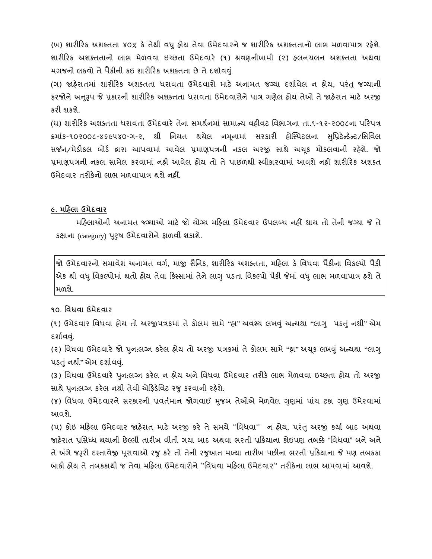(ખ) શારીહરક અશક્તતા ૪૦% કે તેથી વધુહોય તેવા ઉમેદવારનેજ શારીહરક અશક્તતાનો લાભ મળવાપાત્ર રહેશે. શારીહરક અશક્તતાનો લાભ મેળવવા ઇચ્છતા ઉમેદવારે (૧) શ્રવણનીખામી (૨) હલનચલન અશક્તતા અથવા મગજનો લકવો તે પૈકીની કઇ શારીરિક અશક્તતા છે તે દર્શાવવ.

(ગ) જાહેરાતમાાં શારીહરક અશક્તતા ધરાવતા ઉમેદવારો માટે અનામત જગ્યા દશાાવેલ ન હોય, પરાંતુજગ્યાની ફરજોને અનુરૂપ જે પ્રકારની શારીરિક અશક્તતા ધરાવતા ઉમેદવારોને પાત્ર ગણેલ હોય તેઓ તે જાહેરાત માટે અરજી કરી શકશે.

(ઘ) શારીરિક અશક્તતા ધરાવતા ઉમેદવારે તેના સમર્થનમાં સામાન્ય વહીવટ વિભાગના તા.૧-૧૨-૨૦૦૮ના પરિપત્ર ક્રમાંક-૧૦૨૦૦૮-૪૬૯૫૪૦-ગ-૨, થી નિયત થયેલ નમુનામાં સરકારી હ્રોસ્પિટલના સપ્રિટેન્ડેન્ટ/સિવિલ સર્જન/મેડીકલ બોર્ડ દ્વારા આપવામાં આવેલ પ્રમાણપત્રની નકલ અરજી સાથે અચૂક મોકલવાની રહેશે. જો પ્રમાણપત્રની નકલ સામેલ કરવામાં નહીં આવેલ હોય તો તે પાછળથી સ્વીકારવામાં આવશે નહીં શારીરિક અશક્ત ઉમેદવાર તરીકેનો લાભ મળવાપાત્ર થશે નહીં.

## **૯. મડહલા ઉમેદવાર**

મહહલાઓની અનામત જ્ગગ્યાઓ માટે જો યોગ્ય મહહલા ઉમેદવાર ઉપલબ્ધ નહીં થાય તો તેની જગ્યા જે તે કક્ષાના (category) પરુુષ ઉમેદવારોનેફાળવી શકાશે.

જો ઉમેદવારનો સમાવેશ અનામત વગા, માજી સૈવનક, શારીહરક અશક્તતા, મહહલા કે વવધવા પૈકીના વવકલ્પો પૈકી એક થી વધુવવકલ્પોમાાં થતો હોય તેવા હકસ્સામાાં તેનેલાગુપડતા વવકલ્પો પૈકી જેમાાં વધુલાભ મળવાપાત્ર હશે તે મળશે.

## **૧૦. પવધવા ઉમેદવાર**

(૧) ઉમેદવાર વિધવા હોય તો અરજીપત્રકમાં તે કોલમ સામે "હા" અવશ્ય લખવું અન્યથા "લાગુ પડતું નથી" એમ દર્શાવવં.

(૨) વિધવા ઉમેદવારે જો પુન:લગ્ન કરેલ હોય તો અરજી પત્રકમાં તે કોલમ સામે "હા" અચૂક લખવું અન્યથા "લાગુ પડતું નથી" એમ દર્શાવવું.

(૩) વવધવા ઉમેદવારે પનુ :લગ્ન કરેલ ન હોય અને વવધવા ઉમેદવાર તરીકે લાભ મેળવવા ઇચ્છતા હોય તો અરજી સાથેપનુ :લગ્ન કરેલ નથી તેવી એહફડેવવટ રજુકરવાની રહેશે.

(૪) વિધવા ઉમેદવારને સરકારની પ્રવર્તમાન જોગવાઈ મુજબ તેઓએ મેળવેલ ગુણમાં પાંચ ટકા ગુણ ઉમેરવામાં આવશે.

(૫) કોઇ મહિલા ઉમેદવાર જાહેરાત માટે અરજી કરે તે સમયે ''વિધવા'' ન હોય, પરંતુ અરજી કર્યા બાદ અથવા જાહેરાત પ્રવસધ્ધ થયાની છેલ્લી તારીખ વીતી ગયા બાદ અથવા ભરતી પ્રહક્રયાના કોઇપણ તબક્કે "વવધવા" બને અને તે અંગે જરૂરી દસ્તાવેજી પરૂાવાઓ રજુકરે તો તેની રજુઆત મળ્યા તારીખ પછીના ભરતી પ્રહક્રયાના જે પણ તબકકા બાકી હોય તે તબકકાથી જ તેવા મહિલા ઉમેદવારોને ''વિધવા મહિલા ઉમેદવાર'' તરીકેના લાભ આપવામાં આવશે.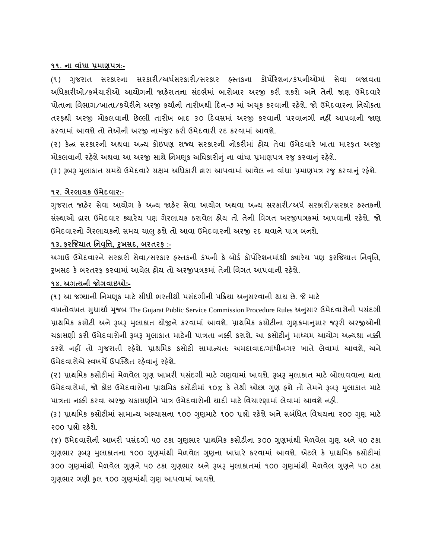#### **૧૧. ના વાાંધા પ્રમાણપત્ર:-**

(૧) ગજુ રાત સરકારના સરકારી/અધાસરકારી/સરકાર હસ્તકના કોપોરેશન/કાંપનીઓમાાં સેવા બજાવતા અધિકારીઓ/કર્મચારીઓ આયોગની જાહેરાતના સંદર્ભમાં બારોબાર અરજી કરી શકશે અને તેની જાણ ઉમેદવારે પોતાના વિભાગ/ખાતા/કચેરીને અરજી કર્યાની તારીખથી દિન-૭ માં અચૂક કરવાની રહેશે. જો ઉમેદવારના નિયોક્તા તરફથી અરજી મોકલવાની છેલ્લી તારીખ બાદ ૩૦ હદવસમાાં અરજી કરવાની પરવાનગી નહીં આપવાની જાણ કરવામાં આવશે તો તેઓની અરજી નામજુર કરી ઉમેદવારી રદ કરવામાં આવશે.

(૨) કેન્ર સરકારની અથવા અન્ય કોઇપણ રાજ્ય સરકારની નોકરીમાાં હોય તેવા ઉમેદવારે ખાતા મારફત અરજી મોકલવાની રહેશે અથવા આ અરજી સાથે નિમણૂક અધિકારીનું ના વાંધા પ્રમાણપત્ર રજુ કરવાનું રહેશે.

(૩) રૂબરૂ મુલાકાત સમયે ઉમેદવારે સક્ષમ અધિકારી દ્વારા આપવામાં આવેલ ના વાંધા પ્રમાણપત્ર રજુ કરવાનું રહેશે.

### **૧૨. ગેરલાયર્ ઉમેદવાર:-**

ગજુ રાત જાહરે સેવા આયોગ કે અન્ય જાહેર સેવા આયોગ અથવા અન્ય સરકારી/અધા સરકારી/સરકાર હસ્તકની સ ાંસ્થાઓ દ્વારા ઉમેદવાર ક્યારેય પણ ગેરલાયક ઠરાવેલ હોય તો તેની વવગત અરજીપત્રકમાાં આપવાની રહેશે. જો ઉમેદવારનો ગેરલાયકનો સમય ચાલુહશેતો આવા ઉમેદવારની અરજી રદ થવાનેપાત્ર બનશે.

# **૧૩. ફરજજયાત પનવપૃિ, રુખસદ, બરતરફ :-**

અગાઉ ઉમેદવારને સરકારી સેવા/સરકાર હસ્તકની કંપની કે બોર્ડ કોર્પોરેશનમાંથી ક્યારેય પણ ફરજિયાત નિવૃત્તિ, રૂખસદ કે બરતરફ કરવામાં આવેલ હોય તો અરજીપત્રકમાં તેની વિગત આપવાની રહેશે.

## **૧૪. અગત્યની જોગવાઇઓ:-**

(૧) આ જગ્યાની નિમણૂક માટે સીધી ભરતીથી પસંદગીની પક્રિયા અનુસરવાની થાય છે. જે માટે

વખતોવખત સુધાર્યા મુજબ The Gujarat Public Service Commission Procedure Rules અનુસાર ઉમેદવારોની પસંદગી પ્રાથમિક કસોટી અને રૂબરૂ મુલાકાત યોજીને કરવામાં આવશે. પ્રાથમિક કસોટીના ગુણક્રમાનુસાર જરૂરી અરજીઓની ચકાસણી કરી ઉમેદવારોની રૂબરૂ મુલાકાત માટેની પાત્રતા નક્કી કરાશે. આ કસોટીનું માધ્યમ આયોગ અન્યથા નક્કી કરશે નહીં તો ગજુ રાતી રહશે ે. પ્રાથવમક કસોટી સામાન્યત: અમદાવાદ/ગાાંધીનગર ખાતે લેવામાાં આવશે, અને ઉમેદવારોએ સ્વખર્ચે ઉપસ્થિત રહેવાનું રહેશે.

(૨) પ્રાથમિક કસોટીમાં મેળવેલ ગુણ આખરી પસંદગી માટે ગણવામાં આવશે. રૂબરૂ મુલાકાત માટે બોલાવવાના થતા ઉમેદવારોમાં, જો કોઇ ઉમેદવારોના પ્રાથમિક કસોટીમાં ૧૦% કે તેથી ઓછા ગુણ હશે તો તેમને રૂબરૂ મુલાકાત માટે પાત્રતા નક્કી કરવા અરજી ચકાસણીને પાત્ર ઉમેદવારોની યાદી માટે વિચારણામાં લેવામાં આવશે નહી.

(૩) પ્રાથમિક કસોટીમાં સામાન્ય અભ્યાસના ૧૦૦ ગુણમાટે ૧૦૦ પ્રશ્નો રહેશે અને સબંધિત વિષયના ૨૦૦ ગુણ માટે ૨૦૦ પ્રશ્નો રહેશે.

(૪) ઉમેદવારોની આખરી પસંદગી ૫૦ ટકા ગુણુભાર પ્રાથમિક કસોટીના ૩૦૦ ગુણમાંથી મેળવેલ ગુણ અને ૫૦ ટકા ગણુભાર રૂબરૂ મુલાકાતના ૧૦૦ ગુણમાંથી મેળવેલ ગુણના આધારે કરવામાં આવશે. એટલે કે પ્રાથમિક કસોટીમાં ૩૦૦ ગુણમાંથી મેળવેલ ગુણને ૫૦ ટકા ગુણુભાર અને રૂબરૂ મુલાકાતમાં ૧૦૦ ગુણમાંથી મેળવેલ ગુણને ૫૦ ટકા ગુણભાર ગણી કુલ ૧૦૦ ગુણમાંથી ગુણ આપવામાં આવશે.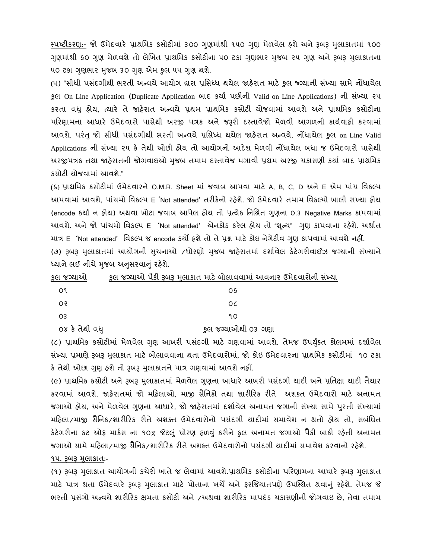સ્પષ્ટીકરણ:- જો ઉમેદવારે પ્રાથમિક કસોટીમાં ૩૦૦ ગુણમાંથી ૧૫૦ ગુણ મેળવેલ હશે અને રૂબરૂ મુલાકાતમાં ૧૦૦ ગુણમાંથી ૬૦ ગુણ મેળવશે તો લેખિત પ્રાથમિક કસોટીના ૫૦ ટકા ગુણભાર મુજબ ૨૫ ગુણ અને રૂબરૂ મુલાકાતના ૫૦ ટકા ગુણભાર મુજબ ૩૦ ગુણ એમ કુલ ૫૫ ગુણ થશે.

(૫) "સીધી પસંદગીથી ભરતી અન્વયે આયોગ દ્રારા પ્રસિધ્ધ થયેલ જાહેરાત માટે કુલ જ્ગ્યાની સંખ્યા સામે નોંધાયેલ કુલ On Line Application (Duplicate Application બાદ કયાા પછીની Valid on Line Applications) ની સ ાંખ્યા ૨૫ કરતા વધુ હોય, ત્યારે તે જાહેરાત અન્વયે પ્રથમ પ્રાથવમક કસોટી યોજવામાાં આવશે અને પ્રાથવમક કસોટીના પરિણામના આધારે ઉમેદવારો પાસેથી અરજી પત્રક અને જરૂરી દસ્તાવેજો મેળવી આગળની કાર્યવાહી કરવામાં આવશે. પરંતુ જો સીધી પસંદગીથી ભરતી અન્વયે પ્રસિધ્ધ થયેલ જાહેરાત અન્વયે, નોંધાયેલ કુલ on Line Valid Applications ની સંખ્યા ૨૫ કે તેથી ઓછી હોય તો આયોગનો આદેશ મેળવી નોંધાયેલ બધા જ ઉમેદવારો પાસેથી અરજીપત્રક તથા જાહેરાતની જોગવાઇઓ મુજબ તમામ દસ્તાવેજ મગાવી પ્રથમ અરજી ચકાસણી કર્યા બાદ પ્રાથમિક કસોટી યોજવામાાં આવશે."

(૬) પ્રાથવમક કસોટીમાાં ઉમેદવારને O.M.R. Sheet માાં જવાબ આપવા માટે A, B, C, D અને E એમ પાાંચ વવકલ્પ આપવામાાં આવશે, પાાંચમો વવકલ્પ E 'Not attended' તરીકેનો રહેશે. જો ઉમેદવારે તમામ વવકલ્પો ખાલી રાખ્યા હોય (encode કર્યા ન હોય) અથવા ખોટા જવાબ આપેલ હોય તો પ્રત્યેક નિશ્રિત ગુણના ૦.૩ Negative Marks કાપવામાં આવશે. અને જો પાંચમો વિકલ્પ E 'Not attended' એનકોડ કરેલ હોય તો "શુન્ય" ગણ કાપવાના રહેશે. અર્થાત માત્ર E 'Not attended' વવકલ્પ જ encode કયો હશેતો તેપ્રશ્ન માટેકોઇ નેગેટીવ ગણુ કાપવામાાં આવશેનહીં. (૭) રૂબરૂ મુલાકાતમાં આયોગની સુચનાઓ /ધોરણો મુજબ જાહેરાતમાં દર્શાવેલ કેટેગરીવાઈઝ જગ્યાની સંખ્યાને ધ્યાને લઈ નીચે મુજબ અનુસરવાનું રહેશે.

| કુલ જગ્યાઓ     | કુલ જગ્યાઓ પૈકી રૂબરૂ મુલાકાત માટે બોલાવવામાં આવનાર ઉમેદવારોની સંખ્યા |
|----------------|-----------------------------------------------------------------------|
| ०१             | ΟS                                                                    |
| ०२             | 0C                                                                    |
| O3             | ٩O                                                                    |
| ૦૪ કે તેથી વધુ | કુલ જગ્યાઓથી ૦૩ ગણા                                                   |

(૮) પ્રાથમિક કસોટીમાં મેળવેલ ગણ આખરી પસંદગી માટે ગણવામાં આવશે. તેમજ ઉપર્યુક્ત કોલમમાં દર્શાવેલ સંખ્યા પ્રમાણે રૂબરૂ મુલાકાત માટે બોલાવવાના થતા ઉમેદવારોમાં, જો કોઇ ઉમેદવારના પ્રાથમિક કસોટીમાં ૧૦ ટકા કે તેથી ઓછા ગુણ હશે તો રૂબરૂ મુલાકાતને પાત્ર ગણવામાં આવશે નહીં.

(૯) પ્રાથમિક કસોટી અને રૂબરૂ મુલાકાતમાં મેળવેલ ગુણના આધારે આખરી પસંદગી ચાદી અને પ્રતિક્ષા ચાદી તૈયાર કરવામાાં આવશે. જાહેરાતમાાં જો મહહલાઓ, માજી સૈવનકો તથા શારીહરક રીતે અશક્ત ઉમેદવારો માટે અનામત જગાઓ હોય, અને મેળવેલ ગુણના આધારે, જો જાહેરાતમાં દર્શાવેલ અનામત જગાની સંખ્યા સામે પુરતી સંખ્યામાં મહિલા/માજી સૈનિક/શારીરિક રીતે અશક્ત ઉમેદવારોનો પસંદગી યાદીમાં સમાવેશ ન થતો હોય તો, સબંધિત કેટેગરીના કટ ઓફ માર્કસ ના ૧૦% જેટલું ધોરણ હળવું કરીને કુલ અનામત જગાઓ પૈકી બાકી રહેતી અનામત જગાઓ સામે મહિલા/માજી સૈનિક/શારીરિક રીતે અશક્ત ઉમેદવારોનો પસંદગી યાદીમાં સમાવેશ કરવાનો રહેશે.

#### **૧૫. રૂબરૂ મલુ ાર્ાત:-**

(૧) રૂબરૂ મુલાકાત આયોગની કચેરી ખાતે જ લેવામાં આવશે.પ્રાથમિક કસોટીના પરિણામના આધારે રૂબરૂ મુલાકાત માટે પાત્ર થતા ઉમેદવારે રૂબરૂ મુલાકાત માટે પોતાના ખર્ચે અને ફરજિયાતપણે ઉપસ્થિત થવાનું રહેશે. તેમજ જે ભરતી પ્રસંગો અન્વયે શારીરિક ક્ષમતા કસોટી અને /અથવા શારીરિક માપદંડ ચકાસણીની જોગવાઇ છે. તેવા તમામ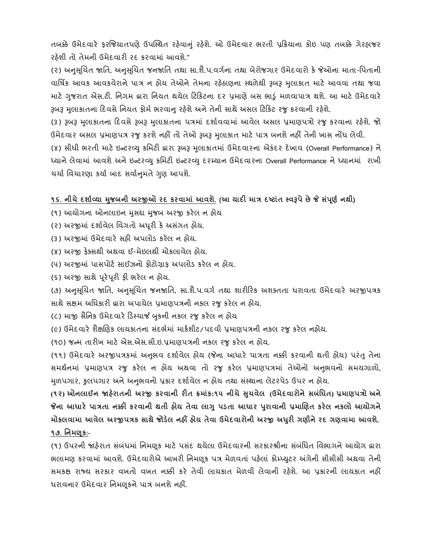તબક્કે ઉમેદવારે ફરજિયાતપણે ઉપસ્થિત રહેવાનું રહેશે. ઓ ઉમેદવાર ભરતી પ્રક્રિયાના કોઇ પણ તબક્કે ગેરહાજર રહેશી તો તેમની ઉમેદવારી રદ કરવામાં આવશે."

(૨) અનુસુચિત જાતિ, અનુસુચિત જનજાતિ તથા સા.શૈ.પ.વર્ગના તથા બેરોજગાર ઉમેદવારો કે જેઓના માતા-પિતાની વાર્ષિક આવક આવકવેરાને પાત્ર ન હોય તેઓને તેમના રહેઠાણના સ્થળેથી રૂબરૂ મુલાકાત માટે આવવા તથા જવા માટે ગુજરાત એસ.ટી. નિગમ દ્વારા નિયત થયેલ ટિકિટના દર પ્રમાણે બસ ભાડું મળવાપાત્ર થશે. આ માટે ઉમેદવારે રૂબરૂ મુલાકાતના દિવસે નિયત ફોર્મ ભરવાનુ રહેશે અને તેની સાથે અસલ ટિકિટ રજુ કરવાની રહેશે.

(૩) રૂબરૂ મુલાકાતના દિવસે રૂબરૂ મુલાકાતના પત્રમાં દર્શાવવામાં આવેલ અસલ પ્રમાણપત્રો રજુ કરવાના રહેશે. જો ઉમેદવાર અસલ પ્રમાણપત્ર રજુ કરશે નહીં તો તેઓ રૂબરૂ મુલાકાત માટે પાત્ર બનશે નહીં તેની ખાસ નોંધ લેવી.

(૪) સીધી ભરતી માટે ઇન્ટરવ્યુ કમિટી દ્વારા રૂબરૂ મુલાકાતમાં ઉમેદવારના એકંદર દેખાવ (Overall Performance) ને ધ્યાનેલેવામાાં આવશેઅનેઇન્ટરવ્યુકવમટી ઇન્ટરવ્યુદરમ્યાન ઉમેદવારના Overall Performance ને ધ્યાનમાાં રાખી ચર્ચા વિચારણા કર્યા બાદ સર્વાનમતે ગુણ આપશે.

## **૧૬. નીિેદશાકવ્યા મજુ બની અરજીઓ રદ ર્રવામાાં આવશે. (આ યાદી માત્ર દષટાાંત સ્વરૂપેછેજે સપાં ણૂ ક નથી)**

- (૧) આયોગના ઓનલાઇન મુસદ્દા મુજબ અરજી કરેલ ન હોય
- (૨) અરજીમાં દર્શાવેલ વિગતો અધૂરી કે અસંગત હોય.
- (૩) અરજીમાાં ઉમેદવારે સહી અપલોડ કરેલ ન હોય.
- (૪) અરજી ફેક્સથી અથવા ઈ-મેઇલથી મોકલાવેલ હોય.
- (૫) અરજીમાં પાસપોર્ટ સાઈઝનો ફોટોગ્રાફ અપલોડ કરેલ ન હોય.
- (૬) અરજી સાથે પુરેપુરી ફી ભરેલ ન હોય.

(૭) અનુસૂચિત જાતિ, અનુસૂચિત જનજાતિ, સા.શૈ.પ.વર્ગ તથા શારીરિક અશક્તતા ધરાવતા ઉમેદવારે અરજીપત્રક સાથે સક્ષમ અવધકારી દ્વારા અપાયેલ પ્રમાણપત્રની નકલ રજુકરેલ ન હોય.

- (૮) માજી સૈનિક ઉમેદવારે ડિસ્ચાર્જ બુકની નકલ રજુ કરેલ ન હોય
- (૯) ઉમેદવારે શૈક્ષણિક લાયકાતના સંદર્ભમાં માર્કશીટ/પદવી પ્રમાણપત્રની નકલ રજુ કરેલ નહોય.

(૧૦) જન્મ તારીખ માટે એસ.એસ.સી.ઇ.પ્રમાણપત્રની નકલ રજુકરેલ ન હોય.

(૧૧) ઉમેદવારે અરજીપત્રકમાં અનુભવ દર્શાવેલ હોય (જેના આધારે પાત્રતા નક્કી કરવાની થતી હોય) પરંતુ તેના સમર્થનમાં પ્રમાણપત્ર રજુ કરેલ ન હોય અથવા તો રજુ કરેલ પ્રમાણપત્રમાં તેઓનો અનુભવનો સમયગાળો, મળપગાર, કુલપગાર અને અનુભવનો પ્રકાર દર્શાવેલ ન હોય તથા સંસ્થાના લેટરપેડ ઉપર ન હોય.

**(૧૨) ઓનલાઈન જાહેરાતની અરજી ર્રવાની રીત ક્રમાાંર્:૧૫ નીિેસિુ વેલ (ઉમેદવારોનેસબપાંધત) પ્રમાણપત્રો અને જેના આધારે પાત્રતા નક્કી ર્રવાની થતી હોય તેવા લાગુપડતા આધાર પરુાવાની પ્રમાચણત ર્રેલ નર્લો આયોગને મોર્લવામા આવેલ અરજીપત્રર્ સાથેજોડેલ નહીં હોય તેવા ઉમેદવારોની અરજી અધરુી ગણીનેરદ ગણવામા આવશે. ૧૭. પનમણ ૂર્:-**

(૧) ઉપરની જાહેરાત સંબંધમાં નિમણૂક માટે પસંદ થયેલા ઉમેદવારની સરકારશ્રીના સંબંધિત વિભાગને આયોગ દ્વારા ભલામણ કરવામાં આવશે. ઉમેદવારોએ આખરી નિમણૂક પત્ર મેળવતાં પહેલાં કોમ્પ્યુટર અંગેની સીસીસી અથવા તેની સમકક્ષ રાજ્ય સરકાર વખતો વખત નક્કી કરે તેવી લાયકાત મેળવી લેવાની રહેશે. આ પ્રકારની લાયકાત નહીં ધરાવનાર ઉમેદવાર વનમણ ૂકને પાત્ર બનશે નહીં.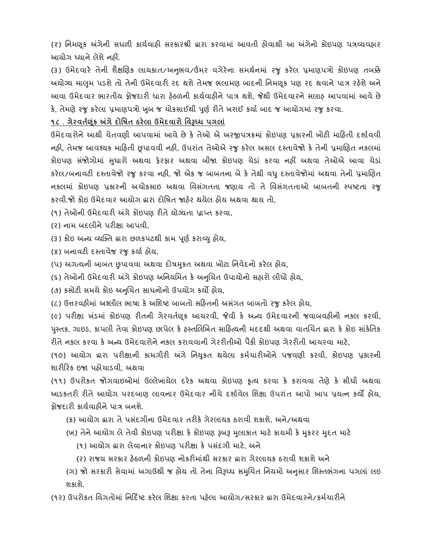(૨) વનમણ ૂક અંગેની સઘળી કાયાવાહી સરકારશ્રી દ્વારા કરવામાાં આવતી હોવાથી આ અંગેનો કોઇપણ પત્રવ્યવહાર આયોગ ધ્યાને લેશેનહીં.

(૩) ઉમેદવારે તેની શૈક્ષણિક લાયકાત/અનુભવ/ઉંમર વગેરેના સમર્થનમાં રજુ કરેલ પ્રમાણપત્રો કોઇપણ તબક્કે અયોગ્ય માલમુ પડશેતો તેની ઉમેદવારી રદ થશેતેમજ ભલામણ બાદની વનમણકૂ પણ રદ થવાને પાત્ર રહેશે અને આવા ઉમેદવાર ભારતીય ફોજદારી ધારા હેઠળની કાર્યવાહીને પાત્ર થશે, જેથી ઉમેદવારને સલાહ આપવામાં આવે છે કે, તેમણે રજુ કરેલા પ્રમાણપત્રો ખુબ જ ચોકસાઈથી પૂર્ણ રીતે ખરાઈ કર્યા બાદ જ આયોગમાં રજુ કરવા.

**૧૮ . ગેરવતકણર્ાંૂ અંગેદોપર્ત ઠરેલા ઉમેદવારો પવરૂધ્ધ પગલાાં**

ઉમેદવારોને આથી ચેતવણી આપવામાં આવે છે કે તેઓ એ અરજીપત્રકમાં કોઇપણ પ્રકારની ખોટી માહિતી દર્શાવવી નહી, તેમજ આવશ્યક માહિતી છૂપાવવી નહી, ઉપરાંત તેઓએ રજુ કરેલ અસલ દસ્તાવેજો કે તેની પ્રમાણિત નકલમાં કોઇપણ સંજોગોમાં સુધારો અથવા ફેરફાર અથવા બીજા કોઇપણ ચેડાં કરવા નહીં અથવા તેઓએ આવા ચેડાં કરેલ/બનાવટી દસ્તાવેજો રજુ કરવા નહી, જો એક જ બાબતના બે કે તેથી વધુ દસ્તાવેજોમાં અથવા તેની પ્રમાણિત નકલમાાં કોઇપણ પ્રકારની અચોકસાઇ અથવા વવસગાં તતા જણાય તો તે વવસગાં તતાઓ બાબતની સ્પષ્ટતા રજુ કરવી.જો કોઇ ઉમેદવાર આયોગ દ્વારા દોવષત જાહેર થયેલ હોય અથવા થાય તો,

(૧) તેઓની ઉમેદવારી અંગે કોઇપણ રીતે યોગ્યતા પ્રા્ત કરવા,

(ર) નામ બદલીને પરીક્ષા આપવી,

(3) કોઇ અન્ય વ્યક્તિ દ્વારા છળકપટથી કામ પૂર્ણ કરાવ્યુ હોય,

(૪) બનાવટી દસ્તાવેજ રજુ કર્યા હોય,

(પ) અગત્યની બાબત છુપાવવા અથવા દોષમકુત અથવા ખોટા વનવેદનો કરેલ હોય,

(૬) તેઓની ઉમેદવારી અંગે કોઇપણ અવનયવમત કેઅનબુચત ઉપાયોનો સહારો લીધો હોય,

(૭) કસોટી સમયે કોઇ અનબુચત સાધનોનો ઉપયોગ કયો હોય,

(૮) ઉત્તરવહીમાં અશ્લીલ ભાષા કે અશિષ્ટ બાબતો સહિતની અસંગત બાબતો રજુ કરેલ હોય,

(૯) પરીક્ષા ખંડમાં કોઇપણ રીતની ગેરવર્તણૂક આચરવી, જેવી કે અન્ય ઉમેદવારની જવાબવઠીની નકલ કરવી, પુસ્તક, ગાઇડ, કાપલી તેવા કોઇપણ છાપેલ કે હસ્તલિખિત સાહિત્યની મદદથી અથવા વાતચિત દ્વારા કે કોઇ સાંકેતિક રીતેનકલ કરવા કે અન્ય ઉમેદવારોને નકલ કરાવવાની ગેરરીતીઓ પૈકી કોઇપણ ગેરરીતી આચરવા માટે,

(૧૦) આયોગ દ્વારા પરીક્ષાની કામગીરી અંગે વનયકુત થયેલા કમાચારીઓને પજવણી કરવી, કોઇપણ પ્રકારની શારીહરક ઇજા પહોચાડવી, અથવા

(૧૧) ઉપરોકત જોગવાઇઓમાાં ઉલ્લેખાયેલ દરેક અથવા કોઇપણ કૃત્ય કરવા કે કરાવવા તેણે કે સીધી અથવા આડકતરી રીતે આયોગ પરદબાણ લાવનાર ઉમેદવાર નીચે દશાાવેલ વશક્ષા ઉપરાાંત આપો આપ પ્રયત્ન કયો હોય, ફોજદારી કાયાવાહીનેપાત્ર બનશે.

(ક) આયોગ દ્વારા તેપસ ાંદગીના ઉમેદવાર તરીકે ગેરલાયક ઠરાવી શકાશે, અને/અથવા

(ખ) તેને આયોગ લે તેવી કોઇપણ પરીક્ષા કે કોઇપણ રૂબરૂ મુલાકાત માટે કાયમી કે મુકરર મુદત માટે

(૧) આયોગ દ્વારા લેવાનાર કોઇપણ પરીક્ષા કે પસંદગી માટે, અને

(ર) રાજય સરકાર હેઠળની કોઇપણ નોકરીમાાંથી સરકાર દ્વારા ગેરલાયક ઠરાવી શકાશે અને

(ગ) જો સરકારી સેવામાં અગાઉથી જ હોય તો તેના વિરૂધ્ધ સમુચિત નિયમો અનુસાર શિસ્તભંગના પગલાં લઇ શકાશે.

(૧ર) ઉપરોકત વવગતોમાાં વનહદિષ્ટ કરેલ વશક્ષા કરતા પહેલા આયોગ/સરકાર દ્વારા ઉમેદવારને/કમાચારીને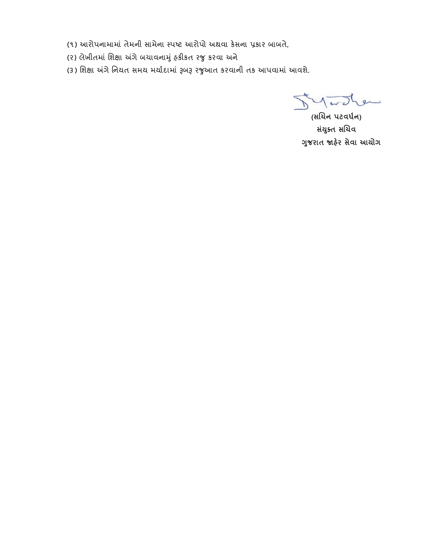(૧) આરોપનામામાાં તેમની સામેના સ્પષ્ટ આરોપો અથવા કેસના પ્રકાર બાબતે,

(૨) લેખીતમાં શિક્ષા અંગે બચાવનામું હકીકત રજુ કરવા અને

(૩) શિક્ષા અંગે નિયત સમય મર્યાદામાં રૂબરૂ રજુઆત કરવાની તક આપવામાં આવશે.

Le  $\sqrt{1-\epsilon}$ 

 **(સચિન પટવધકન) સયાં ક્ુત સચિવ ગજુ રાત જાહરે સેવા આયોગ**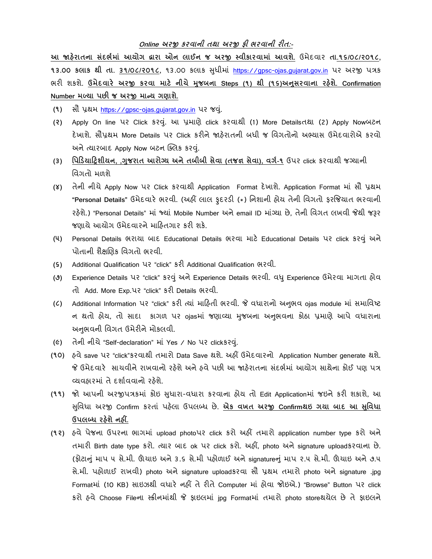## **Online અરજી ર્રવાની તથા અરજી ફી ભરવાની રીત:-**

**આ જાહરે ાતના સદાં ભકમાાં આયોગ દ્વારા ઓન લાઈન જ અરજી સ્વીર્ારવામાાં આવશે.** ઉમેદવાર **તા.૧૬/૦૮/૨૦૧૮, ૧૩.૦૦ ર્લાર્ થી તા. ૩૧/૦૮/૨૦૧૮,** ૧૩.૦૦ કલાક સધુ ીમાાં [https://gpsc-ojas.gujarat.gov.in](https://gpsc-ojas.gujarat.gov.in/) પર અરજી પત્રક ભરી શકશે. **ઉમેદવારે અરજી ર્રવા માટે નીિે મજુ બના Steps (૧) થી (૧૬)અનસુ રવાના રહશે ે. Confirmation Number મળ્યા પછી જ અરજી માન્ય ગણાશે.**

**(૧)** સૌ પ્રથમ [https://gpsc-ojas.gujarat.gov.in](https://gpsc-ojas.gujarat.gov.in/) પર જવ.ુાં

- **(૨)** Apply On line પર Click કરવ.ુાં આ પ્રમાણે click કરવાથી (1) More Detailsતથા (2) Apply Nowબટન દેખાશે. સૌપ્રથમ More Details પર Click કરીને જાહેરાતની બધી જ વવગતોનો અભ્યાસ ઉમેદવારોએ કરવો અને ત્યારબાદ Apply Now બટન ક્લિક કરવું.
- **(૩) પપડડયાડિશીયન, ,ગજુ રાત આરોગ્ય અનેતબીબી સેવા (તજજ્ઞ સેવા), વગક-૧** ઉપર click કરવાથી જગ્યાની વિગતો મળશે
- **(૪)** તેની નીચે Apply Now પર Click કરવાથી Application Format દેખાશે. Application Format માાં સૌ પ્રથમ **"Personal Details"** ઉમેદવારે ભરવી. (અહીં લાલ ફુદરડી (\*) વનશાની હોય તેની વવગતો ફરજજયાત ભરવાની રહેશે.) "Personal Details" માાં જ્યાાં Mobile Number અને email ID માાંગ્યા છે, તેની વવગત લખવી જેથી જરૂર જણાયે આયોગ ઉમેદવારને માહિતગાર કરી શકે.
- **(૫)** Personal Details ભરાયા બાદ Educational Details ભરવા માટે Educational Details પર click કરવુાં અને પોતાની શૈક્ષણિક વિગતો ભરવી.
- **(૬)** Additional Qualification પર "click" કરી Additional Qualification ભરવી.
- **(૭)** Experience Details પર "click" કરવુાં અનેExperience Details ભરવી. વધુExperience ઉમેરવા માગતા હોવ તો Add. More Exp.પર "click" કરી Details ભરવી.
- **(૮)** Additional Information પર "click" કરી ત્યાાં માહહતી ભરવી. જે વધારાનો અનભુ વ ojas module માાં સમાવવષ્ટ ન થતો હોય, તો સાદા કાગળ પર ojasમાં જણાવ્યા મુજબના અનુભવના કોઠા પ્રમાણે આપે વધારાના અનુભવની વિગત ઉમેરીને મોકલવી.
- **(૯)** તેની નીચે "Self-declaration" માાં Yes / No પર clickકરવ.ુાં
- **(૧૦)** હવે save પર "click"કરવાથી તમારો Data Save થશે. અહીં ઉમેદવારનો Application Number generate થશે. જે ઉમેદવારે સાચવીને રાખવાનો રહેશે અને હવે પછી આ જાહેરાતના સંદર્ભમાં આયોગ સાથેના કોઈ પણ પત્ર વ્યવહારમાાં તે દશાાવવાનો રહેશે.
- **(૧૧)** જો આપની અરજીપત્રકમાાં કોઇ સધુ ારા-વધારા કરવાના હોય તો Edit Applicationમાાં જઇને કરી શકાશે, આ સવુવધા અરજી Confirm કરતાાં પહેલા ઉપલબ્ધ છે. **એર્ વખત અરજી Confirmથઇ ગયા બાદ આ સપુવધા ઉપલબ્ધ રહશે ેનહીં.**
- **(૧૨)** હવે પેજના ઉપરના ભાગમાાં upload photoપર click કરો અહીં તમારો application number type કરો અને તમારી Birth date type કરો. ત્યાર બાદ ok પર click કરો. અહીં, photo અને signature uploadકરવાના છે. (ફોટાનુાં માપ ૫ સે.મી. ઊંચાઇ અને ૩.૬ સે.મી પહોળાઈ અને signatureનુાં માપ ૨.૫ સે.મી. ઊંચાઇ અને ૭.૫ સે.મી. પહોળાઈ રાખવી) photo અનેsignature uploadકરવા સૌ પ્રથમ તમારો photo અને signature .jpg Formatમાાં (10 KB) સાઇઝથી વધારે નહીં તે રીતે Computer માાં હોવા જોઇએ.) "Browse" Button પર click કરો હવે Choose Fileના સ્ક્રીનમાાંથી જે ફાઇલમાાં jpg Formatમાાં તમારો photo storeથયેલ છે તે ફાઇલને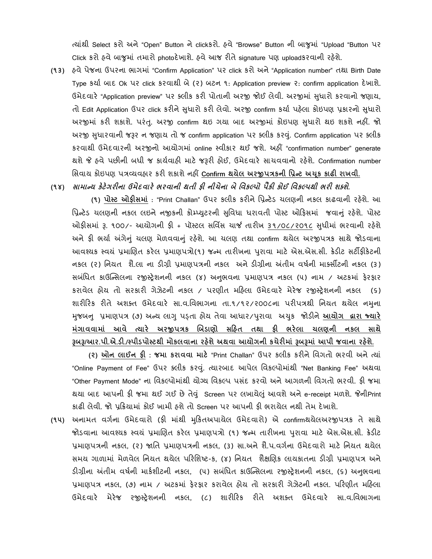ત્યાાંથી Select કરો અને "Open" Button નેclickકરો. હવે "Browse" Button ની બાજુમાાં "Upload "Button પર Click કરો હવેબાજુમાાં તમારો photoદેખાશે. હવે આજ રીતે signature પણ uploadકરવાની રહેશે.

**(૧૩)** હવે પેજના ઉપરના ભાગમાાં "Confirm Application" પર click કરો અને "Application number" તથા Birth Date Type કર્યા બાદ Ok પર click કરવાથી બે (૨) બટન ૧: Application preview ૨: confirm application દેખાશે. ઉમેદવારે "Application preview" પર ક્લીક કરી પોતાની અરજી જોઈ લેવી. અરજીમાં સુધારો કરવાનો જણાય, તો Edit Application ઉપર click કરીને સુધારો કરી લેવો. અરજી confirm કર્યા પહેલા કોઇપણ પ્રકારનો સુધારો અરજીમાં કરી શકાશે. પરંતુ. અરજી confirm થઇ ગયા બાદ અરજીમાં કોઇપણ સુધારો થઇ શકશે નહીં. જો અરજી સુધારવાની જરૂર ન જણાય તો જ confirm application પર ક્લીક કરવું. Confirm application પર ક્લીક કરવાથી ઉમેદવારની અરજીનો આયોગમાાં online સ્વીકાર થઈ જશે. અહીં "confirmation number" generate થશે જે હવે પછીની બધી જ કાયાવાહી માટે જરૂરી હોઈ, ઉમેદવારે સાચવવાનો રહેશે. Confirmation number વસવાય કોઇપણ પત્રવ્યવહાર કરી શકાશે નહીં **Confirm થયેલ અરજીપત્રર્ની પપ્રન્ટ અચર્ૂ ર્ાઢી રાખવી.**

**(૧૪) સામાન્ય ર્ેટેગરીના ઉમેદવારે ભરવાની થતી ફી નીિેના બેપવર્લ્પો પૈર્ી ર્ોઈ પવર્લ્પથી ભરી શક્શ.ે**

 **(૧) પોસ્ટ ઓફીસમાાં** : "Print Challan" ઉપર કલીક કરીને વપ્રન્ટેડ ચલણની નકલ કાઢવાની રહેશે. આ વપ્રન્ટેડ ચલણની નકલ લઇનેનજીકની કોમ્્યટુરની સવુવધા ધરાવતી પોસ્ટ ઓહફસમાાં જવાનુાં રહશે ે. પોસ્ટ ઓફીસમાં રૂ. ૧૦૦/- આયોગની ફી + પૉસ્ટલ સર્વિસ ચાર્જ તારીખ ૩૧/૦૮/૨૦૧૮ સુધીમાં ભરવાની રહેશે અને ફી ભર્યા અંગેનું ચલણ મેળવવાનું રહેશે. આ ચલણ તથા confirm થયેલ અરજીપત્રક સાથે જોડવાના આવશ્યક સ્વય ાં પ્રમાબણત કરેલ પ્રમાણપત્રો(૧) જન્મ તારીખના પરુ ાવા માટે એસ.એસ.સી. ક્રેડીટ સટીફીકેટની નકલ (૨) નિયત શૈ.લા ના ડીગ્રી પ્રમાણપત્રની નકલ અને ડીગ્રીના અંતીમ વર્ષની માર્ક્સીટની નકલ (૩) સબંધિત કાઉન્સિલના રજીસ્ટ્રેશનની નકલ (૪) અનુભવના પ્રમાણપત્ર નકલ (૫) નામ / અટકમાં ફેરફાર કરાવેલ હોય તો સરકારી ગેઝેટની નકલ / પરણીત મહહલા ઉમેદવારે મેરેજ રજીસ્રેશનની નકલ (૬) શારીરિક રીતે અશક્ત ઉમેદવારે સા.વ.વિભાગના તા.૧/૧૨/૨૦૦૮ના પરીપત્રથી નિયત થયેલ નમના મજુ બનુ પ્રમાણપત્ર (૭) અન્ય લાગુપડ્તા હોય તેવા આધાર/પરુાવા અચકુ જોડીને**આયોગ દ્વારા જ્યારે મગાં ાવવામાાં આવે ત્યારે અરજીપત્રર્ ચબડાણો સડહત તથા ફી ભરેલા િલણની નર્લ સાથે રૂબરૂ/આર.પી.એ.ડી./સ્પીડપોસ્ટથી મોર્લવાના રહશે ેઅથવા આયોગની ર્િેરીમાાં રૂબરૂમાાં આપી જવાના રહશે ે.**

 **(૨) ઓન લાઈન ફી : જમા ર્રાવવા માટે** "Print Challan" ઉપર કલીક કરીને વવગતો ભરવી અને ત્યાાં "Online Payment of Fee" ઉપર ક્લીક કરવું. ત્યારબાદ આપેલ વિકલ્પોમાંથી "Net Banking Fee" અથવા "Other Payment Mode" ના વિકલ્પોમાંથી યોગ્ય વિકલ્પ પસંદ કરવો અને આગળની વિગતો ભરવી. ફી જમા થયા બાદ આપની ફી જમા થઈ ગઈ છે તેવું Screen પર લખાયેલું આવશે અને e-receipt મળશે. જેનીPrint કાઢી લેવી. જો પ્રહક્રયામાાં કોઈ ખામી હશે તો Screen પર આપની ફી ભરાયેલ નથી તેમ દેખાશે.

**(૧૫)** અનામત વગાના ઉમેદવારો (ફી માથાં ી મહુકતઅપાયેલ ઉમેદવારો) એ confirmથયેલઅરજીપત્રક તે સાથે જોડવાના આવશ્યક સ્વયં પ્રમાણિત કરેલ પ્રમાણપત્રો (૧) જન્મ તારીખના પુરાવા માટે એસ.એસ.સી. ક્રેડીટ પ્રમાણપત્રની નકલ, (૨) જાતિ પ્રમાણપત્રની નકલ, (3) સા.અને શૈ.પ.વર્ગના ઉમેદવારો માટે નિયત થયેલ સમય ગાળામાં મેળવેલ નિયત થયેલ પરિશિષ્ટ-ક, (૪) નિયત શૈક્ષણિક લાયકાતના ડીગ્રી પ્રમાણપત્ર અને ડીગ્રીના અંતીમ વર્ષની માર્કશીટની નકલ, (૫) સબંધિત કાઉન્સિલના રજીસ્ટ્રેશનની નકલ, (૬) અનુભવના પ્રમાણપત્ર નકલ, (૭) નામ / અટકમાાં ફેરફાર કરાવેલ હોય તો સરકારી ગેઝેટની નકલ. પહરણીત મહહલા ઉમેદવારે મેરેજ રજીસ્રેશનની નકલ, (૮) શારીહરક રીતે અશક્ત ઉમેદવારે સા.વ.વવભાગના